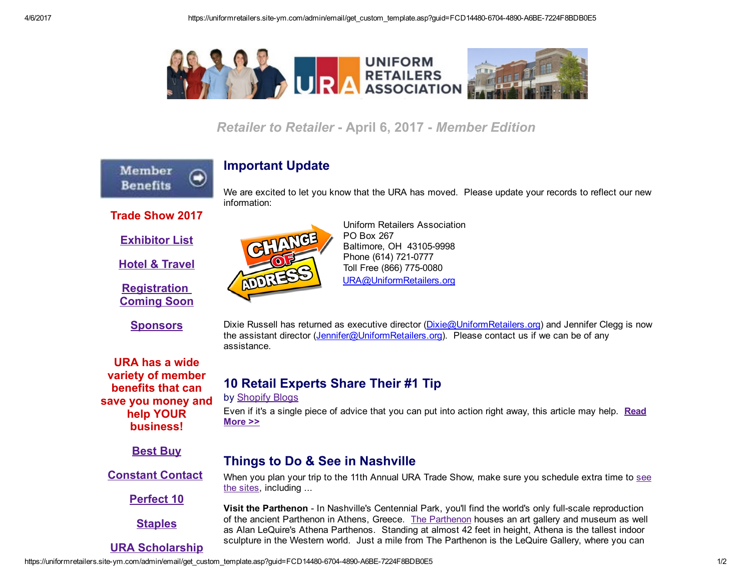

## **Retailer to Retailer - April 6, 2017 - Member Edition**



### Important Update

We are excited to let you know that the URA has moved. Please update your records to reflect our new information:

### Trade Show 2017

[Exhibitor](http://www.uniformretailers.org/?page=ExhibitList2017) List

Hotel & [Travel](http://www.uniformretailers.org/page/HotelTravel)

**[Registration](http://www.uniformretailers.org/?page=TradeShow)** [Coming](http://www.uniformretailers.org/?page=TradeShow) Soon

**[Sponsors](http://www.uniformretailers.org/?page=Sponsors)** 

URA has a wide variety of member benefits that can save you money and help YOUR business!

**[Best](http://c.ymcdn.com/sites/www.uniformretailers.org/resource/resmgr/files/Best_Buy_Summary.pdf) Buy** 

[Constant](http://www.uniformretailers.org/Login.aspx) Contact

[Perfect](https://uniformretailers.site-ym.com/?2017Perfect10) 10

**[Staples](http://c.ymcdn.com/sites/www.uniformretailers.org/resource/resmgr/files/Staples_Summary.pdf)** 

URA [Scholarship](https://uniformretailers.site-ym.com/?page=Scholarships)

CHANGE **ADDRESS** 

Uniform Retailers Association PO Box 267 Baltimore, OH 43105-9998 Phone (614) 721-0777 Toll Free (866) 775-0080 [URA@UniformRetailers.org](https://uniformretailers.site-ym.com/admin/email/URA@UniformRetailers.org)

Dixie Russell has returned as executive director [\(Dixie@UniformRetailers.org\)](mailto:Dixie@UniformRetailers.org) and Jennifer Clegg is now the assistant director ([Jennifer@UniformRetailers.org\)](mailto:Jennifer@UniformRetailers.org). Please contact us if we can be of any assistance.

# 10 Retail Experts Share Their #1 Tip

#### by [Shopify](https://www.shopify.com/retail/119517891-10-retail-experts-share-their-1-tip-for-marketing-and-growing-your-store) Blogs

Even if it's a single piece of [advice](https://www.shopify.com/retail/119517891-10-retail-experts-share-their-1-tip-for-marketing-and-growing-your-store) that you can put into action right away, this article may help. Read More >>

# Things to Do & See in Nashville

When you plan your trip to the 11th Annual URA Trade Show, make sure you [schedule](http://www.visitmusiccity.com/visitors/thingstodo) extra time to see the sites, including ...

Visit the Parthenon - In Nashville's Centennial Park, you'll find the world's only full-scale reproduction of the ancient Parthenon in Athens, Greece. The [Parthenon](http://www.nashville.gov/Parks-and-Recreation/Parthenon.aspx) houses an art gallery and museum as well as Alan LeQuire's Athena Parthenos. Standing at almost 42 feet in height, Athena is the tallest indoor sculpture in the Western world. Just a mile from The Parthenon is the LeQuire Gallery, where you can